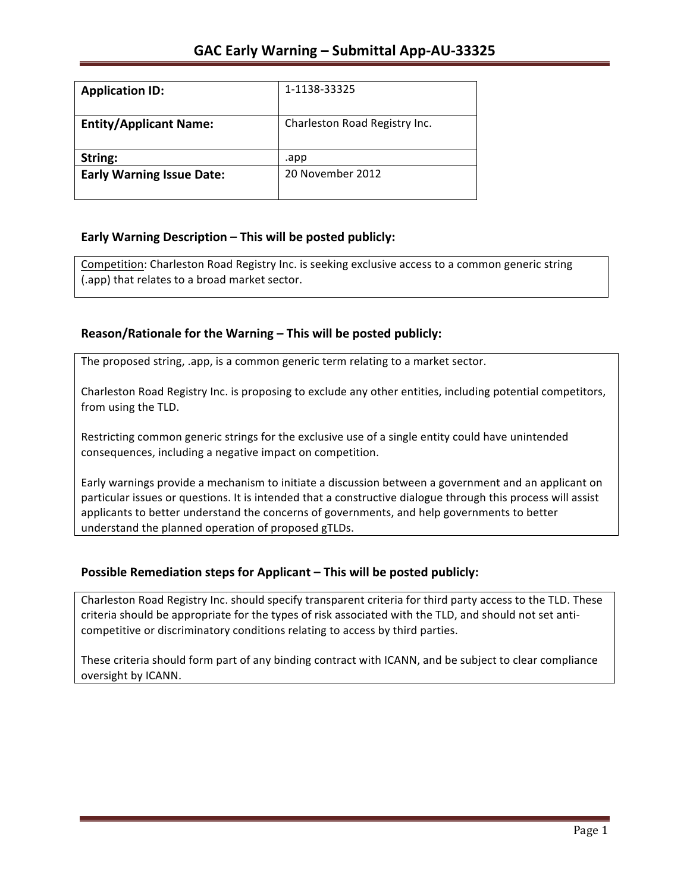| <b>Application ID:</b>           | 1-1138-33325                  |
|----------------------------------|-------------------------------|
|                                  |                               |
| <b>Entity/Applicant Name:</b>    | Charleston Road Registry Inc. |
|                                  |                               |
| String:                          | .app                          |
| <b>Early Warning Issue Date:</b> | 20 November 2012              |
|                                  |                               |

## **Early Warning Description – This will be posted publicly:**

Competition: Charleston Road Registry Inc. is seeking exclusive access to a common generic string (.app) that relates to a broad market sector.

## Reason/Rationale for the Warning – This will be posted publicly:

The proposed string, .app, is a common generic term relating to a market sector.

Charleston Road Registry Inc. is proposing to exclude any other entities, including potential competitors, from using the TLD.

Restricting common generic strings for the exclusive use of a single entity could have unintended consequences, including a negative impact on competition.

Early warnings provide a mechanism to initiate a discussion between a government and an applicant on particular issues or questions. It is intended that a constructive dialogue through this process will assist applicants to better understand the concerns of governments, and help governments to better understand the planned operation of proposed gTLDs.

## **Possible Remediation steps for Applicant – This will be posted publicly:**

Charleston Road Registry Inc. should specify transparent criteria for third party access to the TLD. These criteria should be appropriate for the types of risk associated with the TLD, and should not set anticompetitive or discriminatory conditions relating to access by third parties.

These criteria should form part of any binding contract with ICANN, and be subject to clear compliance oversight by ICANN.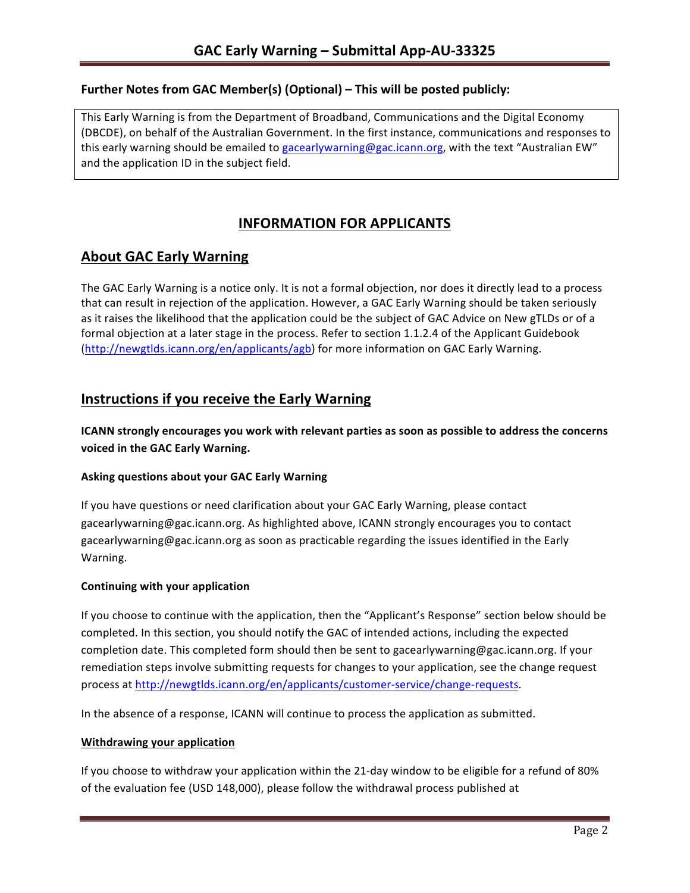### **Further Notes from GAC Member(s) (Optional) – This will be posted publicly:**

This Early Warning is from the Department of Broadband, Communications and the Digital Economy (DBCDE), on behalf of the Australian Government. In the first instance, communications and responses to this early warning should be emailed to gacearlywarning@gac.icann.org, with the text "Australian EW" and the application ID in the subject field.

# **INFORMATION FOR APPLICANTS**

## **About GAC Early Warning**

The GAC Early Warning is a notice only. It is not a formal objection, nor does it directly lead to a process that can result in rejection of the application. However, a GAC Early Warning should be taken seriously as it raises the likelihood that the application could be the subject of GAC Advice on New gTLDs or of a formal objection at a later stage in the process. Refer to section 1.1.2.4 of the Applicant Guidebook (http://newgtlds.icann.org/en/applicants/agb) for more information on GAC Early Warning.

## **Instructions if you receive the Early Warning**

**ICANN** strongly encourages you work with relevant parties as soon as possible to address the concerns **voiced in the GAC Early Warning.** 

#### **Asking questions about your GAC Early Warning**

If you have questions or need clarification about your GAC Early Warning, please contact gacearlywarning@gac.icann.org. As highlighted above, ICANN strongly encourages you to contact gacearlywarning@gac.icann.org as soon as practicable regarding the issues identified in the Early Warning. 

#### **Continuing with your application**

If you choose to continue with the application, then the "Applicant's Response" section below should be completed. In this section, you should notify the GAC of intended actions, including the expected completion date. This completed form should then be sent to gacearlywarning@gac.icann.org. If your remediation steps involve submitting requests for changes to your application, see the change request process at http://newgtlds.icann.org/en/applicants/customer-service/change-requests.

In the absence of a response, ICANN will continue to process the application as submitted.

#### **Withdrawing your application**

If you choose to withdraw your application within the 21-day window to be eligible for a refund of 80% of the evaluation fee (USD 148,000), please follow the withdrawal process published at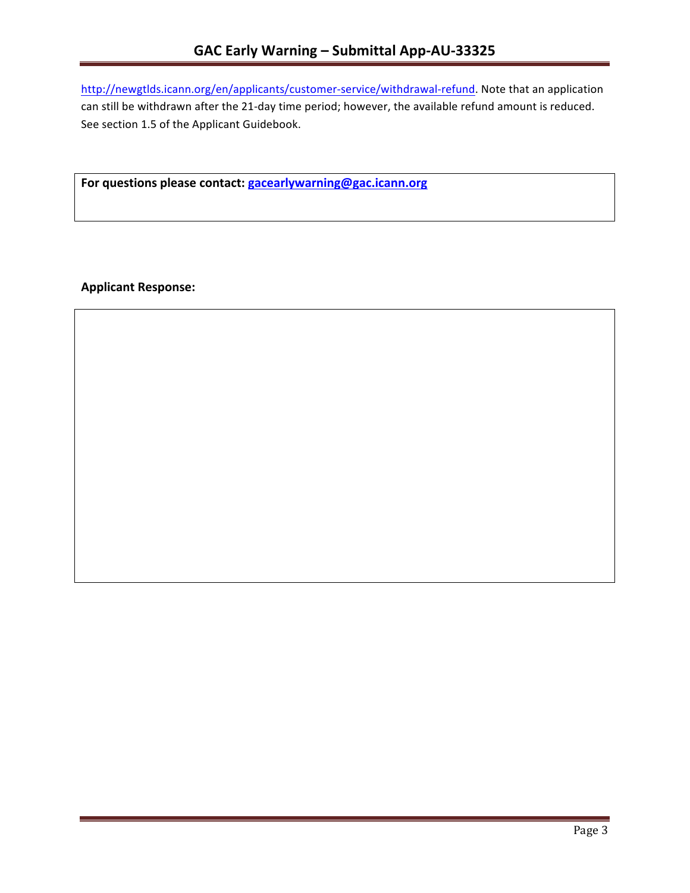http://newgtlds.icann.org/en/applicants/customer-service/withdrawal-refund. Note that an application can still be withdrawn after the 21-day time period; however, the available refund amount is reduced. See section 1.5 of the Applicant Guidebook.

For questions please contact: gacearlywarning@gac.icann.org

**Applicant Response:**